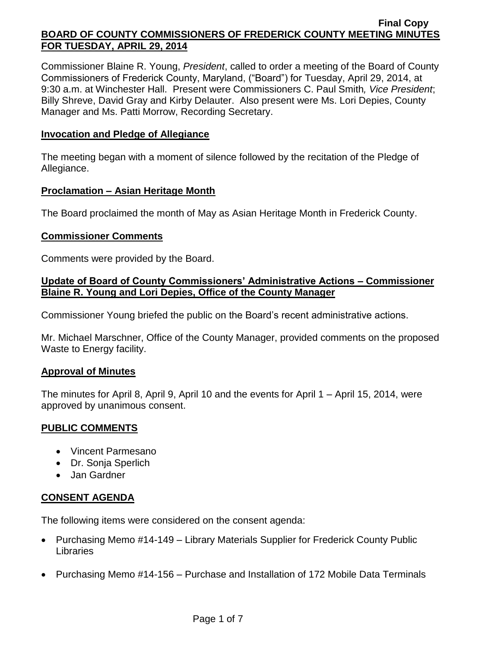Commissioner Blaine R. Young, *President*, called to order a meeting of the Board of County Commissioners of Frederick County, Maryland, ("Board") for Tuesday, April 29, 2014, at 9:30 a.m. at Winchester Hall. Present were Commissioners C. Paul Smith*, Vice President*; Billy Shreve, David Gray and Kirby Delauter. Also present were Ms. Lori Depies, County Manager and Ms. Patti Morrow, Recording Secretary.

### **Invocation and Pledge of Allegiance**

The meeting began with a moment of silence followed by the recitation of the Pledge of Allegiance.

#### **Proclamation – Asian Heritage Month**

The Board proclaimed the month of May as Asian Heritage Month in Frederick County.

#### **Commissioner Comments**

Comments were provided by the Board.

# **Update of Board of County Commissioners' Administrative Actions – Commissioner Blaine R. Young and Lori Depies, Office of the County Manager**

Commissioner Young briefed the public on the Board's recent administrative actions.

Mr. Michael Marschner, Office of the County Manager, provided comments on the proposed Waste to Energy facility.

#### **Approval of Minutes**

The minutes for April 8, April 9, April 10 and the events for April 1 – April 15, 2014, were approved by unanimous consent.

# **PUBLIC COMMENTS**

- Vincent Parmesano
- Dr. Sonja Sperlich
- Jan Gardner

# **CONSENT AGENDA**

The following items were considered on the consent agenda:

- Purchasing Memo #14-149 Library Materials Supplier for Frederick County Public Libraries
- Purchasing Memo #14-156 Purchase and Installation of 172 Mobile Data Terminals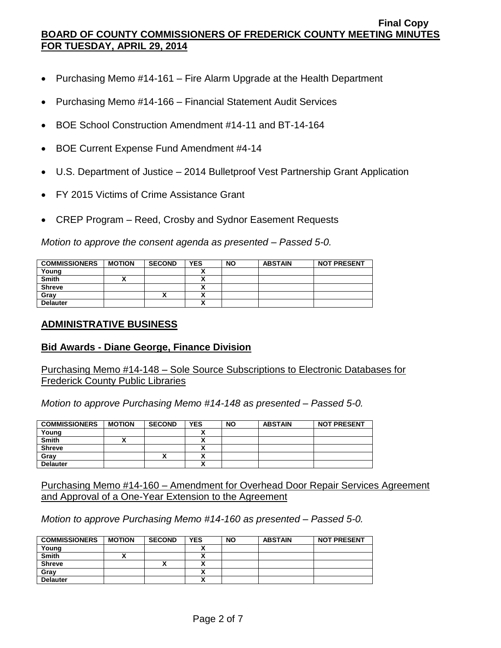- Purchasing Memo #14-161 Fire Alarm Upgrade at the Health Department
- Purchasing Memo #14-166 Financial Statement Audit Services
- BOE School Construction Amendment #14-11 and BT-14-164
- BOE Current Expense Fund Amendment #4-14
- U.S. Department of Justice 2014 Bulletproof Vest Partnership Grant Application
- FY 2015 Victims of Crime Assistance Grant
- CREP Program Reed, Crosby and Sydnor Easement Requests

*Motion to approve the consent agenda as presented – Passed 5-0.*

| <b>COMMISSIONERS</b> | <b>MOTION</b> | <b>SECOND</b> | <b>YES</b> | <b>NO</b> | <b>ABSTAIN</b> | <b>NOT PRESENT</b> |
|----------------------|---------------|---------------|------------|-----------|----------------|--------------------|
| Young                |               |               |            |           |                |                    |
| <b>Smith</b>         |               |               |            |           |                |                    |
| <b>Shreve</b>        |               |               |            |           |                |                    |
| Gray                 |               | ́             |            |           |                |                    |
| <b>Delauter</b>      |               |               |            |           |                |                    |

#### **ADMINISTRATIVE BUSINESS**

# **Bid Awards - Diane George, Finance Division**

Purchasing Memo #14-148 – Sole Source Subscriptions to Electronic Databases for Frederick County Public Libraries

*Motion to approve Purchasing Memo #14-148 as presented – Passed 5-0.*

| <b>COMMISSIONERS</b> | <b>MOTION</b> | <b>SECOND</b> | <b>YES</b> | <b>NO</b> | <b>ABSTAIN</b> | <b>NOT PRESENT</b> |
|----------------------|---------------|---------------|------------|-----------|----------------|--------------------|
| Young                |               |               |            |           |                |                    |
| <b>Smith</b>         |               |               |            |           |                |                    |
| <b>Shreve</b>        |               |               |            |           |                |                    |
| Gray                 |               | ^             |            |           |                |                    |
| <b>Delauter</b>      |               |               |            |           |                |                    |

Purchasing Memo #14-160 – Amendment for Overhead Door Repair Services Agreement and Approval of a One-Year Extension to the Agreement

*Motion to approve Purchasing Memo #14-160 as presented – Passed 5-0.*

| <b>COMMISSIONERS</b> | <b>MOTION</b> | <b>SECOND</b> | <b>YES</b> | <b>NO</b> | <b>ABSTAIN</b> | <b>NOT PRESENT</b> |
|----------------------|---------------|---------------|------------|-----------|----------------|--------------------|
| Young                |               |               |            |           |                |                    |
| <b>Smith</b>         |               |               |            |           |                |                    |
| <b>Shreve</b>        |               |               |            |           |                |                    |
| Gray                 |               |               |            |           |                |                    |
| <b>Delauter</b>      |               |               |            |           |                |                    |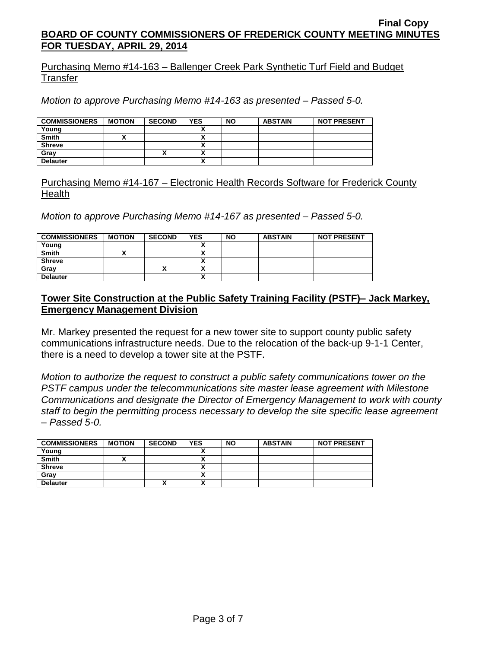Purchasing Memo #14-163 – Ballenger Creek Park Synthetic Turf Field and Budget **Transfer** 

*Motion to approve Purchasing Memo #14-163 as presented – Passed 5-0.*

| <b>COMMISSIONERS</b> | <b>MOTION</b> | <b>SECOND</b> | <b>YES</b>           | <b>NO</b> | <b>ABSTAIN</b> | <b>NOT PRESENT</b> |
|----------------------|---------------|---------------|----------------------|-----------|----------------|--------------------|
| Young                |               |               | $\ddot{\phantom{a}}$ |           |                |                    |
| <b>Smith</b>         |               |               | `                    |           |                |                    |
| <b>Shreve</b>        |               |               |                      |           |                |                    |
| Grav                 |               | ^             |                      |           |                |                    |
| <b>Delauter</b>      |               |               |                      |           |                |                    |

Purchasing Memo #14-167 – Electronic Health Records Software for Frederick County **Health** 

*Motion to approve Purchasing Memo #14-167 as presented – Passed 5-0.*

| <b>COMMISSIONERS</b> | <b>MOTION</b> | <b>SECOND</b> | <b>YES</b> | <b>NO</b> | <b>ABSTAIN</b> | <b>NOT PRESENT</b> |
|----------------------|---------------|---------------|------------|-----------|----------------|--------------------|
| Young                |               |               |            |           |                |                    |
| <b>Smith</b>         |               |               |            |           |                |                    |
| <b>Shreve</b>        |               |               |            |           |                |                    |
| Gray                 |               | ,,            |            |           |                |                    |
| <b>Delauter</b>      |               |               |            |           |                |                    |

# **Tower Site Construction at the Public Safety Training Facility (PSTF)– Jack Markey, Emergency Management Division**

Mr. Markey presented the request for a new tower site to support county public safety communications infrastructure needs. Due to the relocation of the back-up 9-1-1 Center, there is a need to develop a tower site at the PSTF.

*Motion to authorize the request to construct a public safety communications tower on the PSTF campus under the telecommunications site master lease agreement with Milestone Communications and designate the Director of Emergency Management to work with county staff to begin the permitting process necessary to develop the site specific lease agreement – Passed 5-0.*

| <b>COMMISSIONERS</b> | <b>MOTION</b> | <b>SECOND</b> | <b>YES</b> | <b>NO</b> | <b>ABSTAIN</b> | <b>NOT PRESENT</b> |
|----------------------|---------------|---------------|------------|-----------|----------------|--------------------|
| Young                |               |               |            |           |                |                    |
| Smith                |               |               |            |           |                |                    |
| <b>Shreve</b>        |               |               |            |           |                |                    |
| Gray                 |               |               |            |           |                |                    |
| <b>Delauter</b>      |               | Λ             |            |           |                |                    |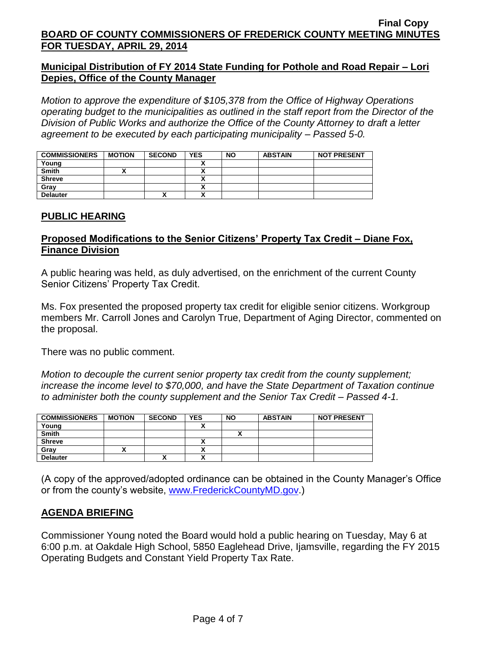# **Municipal Distribution of FY 2014 State Funding for Pothole and Road Repair – Lori Depies, Office of the County Manager**

*Motion to approve the expenditure of \$105,378 from the Office of Highway Operations operating budget to the municipalities as outlined in the staff report from the Director of the Division of Public Works and authorize the Office of the County Attorney to draft a letter agreement to be executed by each participating municipality – Passed 5-0.*

| <b>COMMISSIONERS</b> | <b>MOTION</b> | <b>SECOND</b> | <b>YES</b> | <b>NO</b> | <b>ABSTAIN</b> | <b>NOT PRESENT</b> |
|----------------------|---------------|---------------|------------|-----------|----------------|--------------------|
| Young                |               |               |            |           |                |                    |
| <b>Smith</b>         |               |               |            |           |                |                    |
| <b>Shreve</b>        |               |               |            |           |                |                    |
| Gray                 |               |               |            |           |                |                    |
| <b>Delauter</b>      |               | Λ             |            |           |                |                    |

# **PUBLIC HEARING**

# **Proposed Modifications to the Senior Citizens' Property Tax Credit – Diane Fox, Finance Division**

A public hearing was held, as duly advertised, on the enrichment of the current County Senior Citizens' Property Tax Credit.

Ms. Fox presented the proposed property tax credit for eligible senior citizens. Workgroup members Mr. Carroll Jones and Carolyn True, Department of Aging Director, commented on the proposal.

There was no public comment.

*Motion to decouple the current senior property tax credit from the county supplement; increase the income level to \$70,000, and have the State Department of Taxation continue to administer both the county supplement and the Senior Tax Credit – Passed 4-1.*

| <b>COMMISSIONERS</b> | <b>MOTION</b> | <b>SECOND</b> | <b>YES</b> | <b>NO</b> | <b>ABSTAIN</b> | <b>NOT PRESENT</b> |
|----------------------|---------------|---------------|------------|-----------|----------------|--------------------|
| Young                |               |               |            |           |                |                    |
| <b>Smith</b>         |               |               |            |           |                |                    |
| <b>Shreve</b>        |               |               |            |           |                |                    |
| Gray                 |               |               |            |           |                |                    |
| <b>Delauter</b>      |               | Λ             | v          |           |                |                    |

(A copy of the approved/adopted ordinance can be obtained in the County Manager's Office or from the county's website, [www.FrederickCountyMD.gov.](http://www.frederickcountymd.gov/))

# **AGENDA BRIEFING**

Commissioner Young noted the Board would hold a public hearing on Tuesday, May 6 at 6:00 p.m. at Oakdale High School, 5850 Eaglehead Drive, Ijamsville, regarding the FY 2015 Operating Budgets and Constant Yield Property Tax Rate.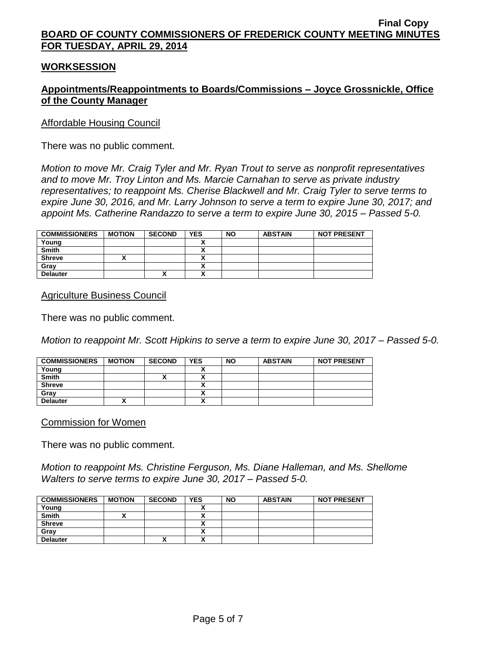#### **WORKSESSION**

# **Appointments/Reappointments to Boards/Commissions – Joyce Grossnickle, Office of the County Manager**

#### Affordable Housing Council

There was no public comment.

*Motion to move Mr. Craig Tyler and Mr. Ryan Trout to serve as nonprofit representatives and to move Mr. Troy Linton and Ms. Marcie Carnahan to serve as private industry representatives; to reappoint Ms. Cherise Blackwell and Mr. Craig Tyler to serve terms to expire June 30, 2016, and Mr. Larry Johnson to serve a term to expire June 30, 2017; and appoint Ms. Catherine Randazzo to serve a term to expire June 30, 2015 – Passed 5-0.*

| <b>COMMISSIONERS</b> | <b>MOTION</b> | <b>SECOND</b> | <b>YES</b> | <b>NO</b> | <b>ABSTAIN</b> | <b>NOT PRESENT</b> |
|----------------------|---------------|---------------|------------|-----------|----------------|--------------------|
| Young                |               |               |            |           |                |                    |
| Smith                |               |               |            |           |                |                    |
| <b>Shreve</b>        |               |               |            |           |                |                    |
| Gray                 |               |               |            |           |                |                    |
| <b>Delauter</b>      |               | Λ             | v          |           |                |                    |

Agriculture Business Council

There was no public comment.

*Motion to reappoint Mr. Scott Hipkins to serve a term to expire June 30, 2017 – Passed 5-0.*

| <b>COMMISSIONERS</b> | <b>MOTION</b> | <b>SECOND</b> | <b>YES</b> | <b>NO</b> | <b>ABSTAIN</b> | <b>NOT PRESENT</b> |
|----------------------|---------------|---------------|------------|-----------|----------------|--------------------|
| Young                |               |               |            |           |                |                    |
| <b>Smith</b>         |               | ́             | v          |           |                |                    |
| <b>Shreve</b>        |               |               |            |           |                |                    |
| Grav                 |               |               |            |           |                |                    |
| <b>Delauter</b>      |               |               | <br>       |           |                |                    |

Commission for Women

There was no public comment.

*Motion to reappoint Ms. Christine Ferguson, Ms. Diane Halleman, and Ms. Shellome Walters to serve terms to expire June 30, 2017 – Passed 5-0.*

| <b>COMMISSIONERS</b> | <b>MOTION</b> | <b>SECOND</b> | <b>YES</b> | <b>NO</b> | <b>ABSTAIN</b> | <b>NOT PRESENT</b> |
|----------------------|---------------|---------------|------------|-----------|----------------|--------------------|
| Young                |               |               |            |           |                |                    |
| <b>Smith</b>         |               |               |            |           |                |                    |
| Shreve               |               |               |            |           |                |                    |
| Grav                 |               |               |            |           |                |                    |
| <b>Delauter</b>      |               | ^             |            |           |                |                    |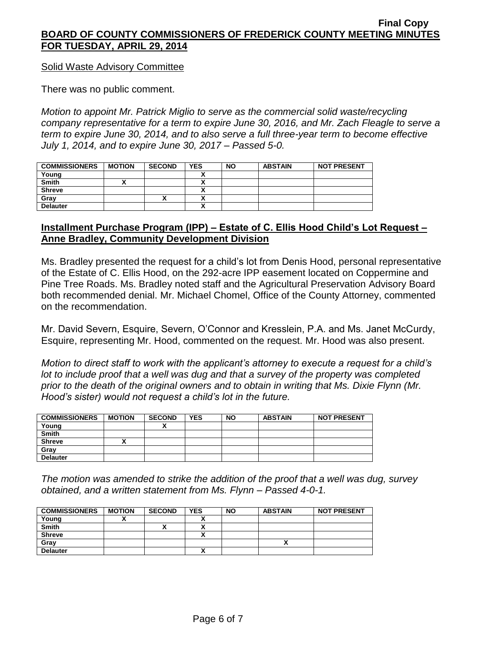#### Solid Waste Advisory Committee

There was no public comment.

*Motion to appoint Mr. Patrick Miglio to serve as the commercial solid waste/recycling company representative for a term to expire June 30, 2016, and Mr. Zach Fleagle to serve a term to expire June 30, 2014, and to also serve a full three-year term to become effective July 1, 2014, and to expire June 30, 2017 – Passed 5-0.*

| <b>COMMISSIONERS</b> | <b>MOTION</b> | <b>SECOND</b> | <b>YES</b> | <b>NO</b> | <b>ABSTAIN</b> | <b>NOT PRESENT</b> |
|----------------------|---------------|---------------|------------|-----------|----------------|--------------------|
| Young                |               |               |            |           |                |                    |
| <b>Smith</b>         |               |               |            |           |                |                    |
| <b>Shreve</b>        |               |               |            |           |                |                    |
| Gray                 |               | ,,            |            |           |                |                    |
| <b>Delauter</b>      |               |               | n          |           |                |                    |

# **Installment Purchase Program (IPP) – Estate of C. Ellis Hood Child's Lot Request – Anne Bradley, Community Development Division**

Ms. Bradley presented the request for a child's lot from Denis Hood, personal representative of the Estate of C. Ellis Hood, on the 292-acre IPP easement located on Coppermine and Pine Tree Roads. Ms. Bradley noted staff and the Agricultural Preservation Advisory Board both recommended denial. Mr. Michael Chomel, Office of the County Attorney, commented on the recommendation.

Mr. David Severn, Esquire, Severn, O'Connor and Kresslein, P.A. and Ms. Janet McCurdy, Esquire, representing Mr. Hood, commented on the request. Mr. Hood was also present.

*Motion to direct staff to work with the applicant's attorney to execute a request for a child's lot to include proof that a well was dug and that a survey of the property was completed prior to the death of the original owners and to obtain in writing that Ms. Dixie Flynn (Mr. Hood's sister) would not request a child's lot in the future.*

| <b>COMMISSIONERS</b> | <b>MOTION</b> | <b>SECOND</b> | <b>YES</b> | <b>NO</b> | <b>ABSTAIN</b> | <b>NOT PRESENT</b> |
|----------------------|---------------|---------------|------------|-----------|----------------|--------------------|
| Young                |               |               |            |           |                |                    |
| <b>Smith</b>         |               |               |            |           |                |                    |
| <b>Shreve</b>        |               |               |            |           |                |                    |
| Gray                 |               |               |            |           |                |                    |
| <b>Delauter</b>      |               |               |            |           |                |                    |

*The motion was amended to strike the addition of the proof that a well was dug, survey obtained, and a written statement from Ms. Flynn – Passed 4-0-1.*

| <b>COMMISSIONERS</b> | <b>MOTION</b> | <b>SECOND</b> | <b>YES</b> | <b>NO</b> | <b>ABSTAIN</b> | <b>NOT PRESENT</b> |
|----------------------|---------------|---------------|------------|-----------|----------------|--------------------|
| Young                |               |               |            |           |                |                    |
| <b>Smith</b>         |               | Λ             |            |           |                |                    |
| <b>Shreve</b>        |               |               |            |           |                |                    |
| Gray                 |               |               |            |           |                |                    |
| <b>Delauter</b>      |               |               |            |           |                |                    |